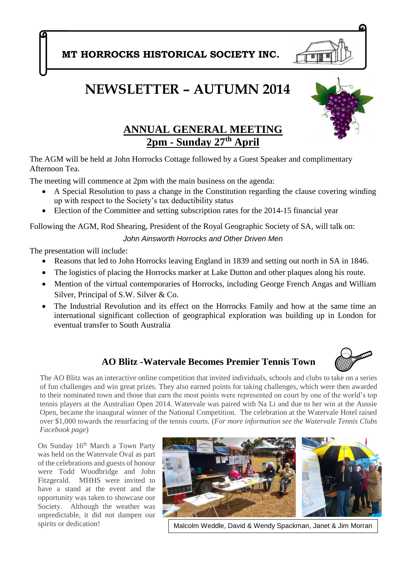**MT HORROCKS HISTORICAL SOCIETY INC.**

# **NEWSLETTER – AUTUMN 2014**



The AGM will be held at John Horrocks Cottage followed by a Guest Speaker and complimentary Afternoon Tea.

The meeting will commence at 2pm with the main business on the agenda:

- A Special Resolution to pass a change in the Constitution regarding the clause covering winding up with respect to the Society's tax deductibility status
- Election of the Committee and setting subscription rates for the 2014-15 financial year

Following the AGM, Rod Shearing, President of the Royal Geographic Society of SA, will talk on:

*John Ainsworth Horrocks and Other Driven Men*

The presentation will include:

- Reasons that led to John Horrocks leaving England in 1839 and setting out north in SA in 1846.
- The logistics of placing the Horrocks marker at Lake Dutton and other plaques along his route.
- Mention of the virtual contemporaries of Horrocks, including George French Angas and William Silver, Principal of S.W. Silver & Co.
- The Industrial Revolution and its effect on the Horrocks Family and how at the same time an international significant collection of geographical exploration was building up in London for eventual transfer to South Australia

### **AO Blitz -Watervale Becomes Premier Tennis Town**



The AO Blitz was an interactive online competition that invited individuals, schools and clubs to take on a series of fun challenges and win great prizes. They also earned points for taking challenges, which were then awarded to their nominated town and those that earn the most points were represented on court by one of the world's top tennis players at the Australian Open 2014. Watervale was paired with Na Li and due to her win at the Aussie Open, became the inaugural winner of the National Competition. The celebration at the Watervale Hotel raised over \$1,000 towards the resurfacing of the tennis courts. (*For more information see the Watervale Tennis Clubs Facebook page*)

On Sunday 16<sup>th</sup> March a Town Party was held on the Watervale Oval as part of the celebrations and guests of honour were Todd Woodbridge and John Fitzgerald. MHHS were invited to have a stand at the event and the opportunity was taken to showcase our Society. Although the weather was unpredictable, it did not dampen our spirits or dedication!



Malcolm Weddle, David & Wendy Spackman, Janet & Jim Morran

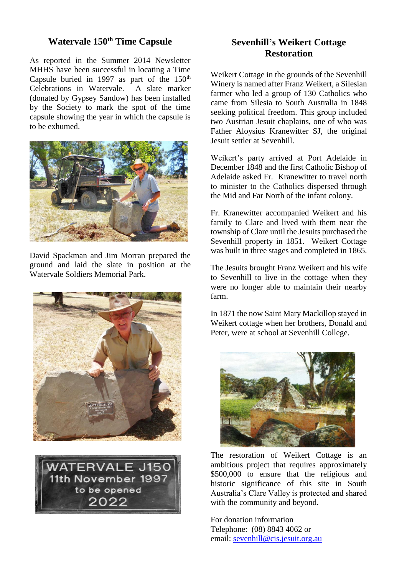### **Watervale 150th Time Capsule**

As reported in the Summer 2014 Newsletter MHHS have been successful in locating a Time Capsule buried in 1997 as part of the  $150<sup>th</sup>$ <br>Celebrations in Watervale. A slate marker Celebrations in Watervale. (donated by Gypsey Sandow) has been installed by the Society to mark the spot of the time capsule showing the year in which the capsule is to be exhumed.



David Spackman and Jim Morran prepared the ground and laid the slate in position at the Watervale Soldiers Memorial Park.





### **Sevenhill's Weikert Cottage Restoration**

Weikert Cottage in the grounds of the Sevenhill Winery is named after Franz Weikert, a Silesian farmer who led a group of 130 Catholics who came from Silesia to South Australia in 1848 seeking political freedom. This group included two Austrian Jesuit chaplains, one of who was Father Aloysius Kranewitter SJ, the original Jesuit settler at Sevenhill.

Weikert's party arrived at Port Adelaide in December 1848 and the first Catholic Bishop of Adelaide asked Fr. Kranewitter to travel north to minister to the Catholics dispersed through the Mid and Far North of the infant colony.

Fr. Kranewitter accompanied Weikert and his family to Clare and lived with them near the township of Clare until the Jesuits purchased the Sevenhill property in 1851. Weikert Cottage was built in three stages and completed in 1865.

The Jesuits brought Franz Weikert and his wife to Sevenhill to live in the cottage when they were no longer able to maintain their nearby farm.

In 1871 the now Saint Mary Mackillop stayed in Weikert cottage when her brothers, Donald and Peter, were at school at Sevenhill College.



The restoration of Weikert Cottage is an ambitious project that requires approximately \$500,000 to ensure that the religious and historic significance of this site in South Australia's Clare Valley is protected and shared with the community and beyond.

For donation information Telephone: (08) 8843 4062 or email: [sevenhill@cis.jesuit.org.au](mailto:sevenhill@cis.jesuit.org.au)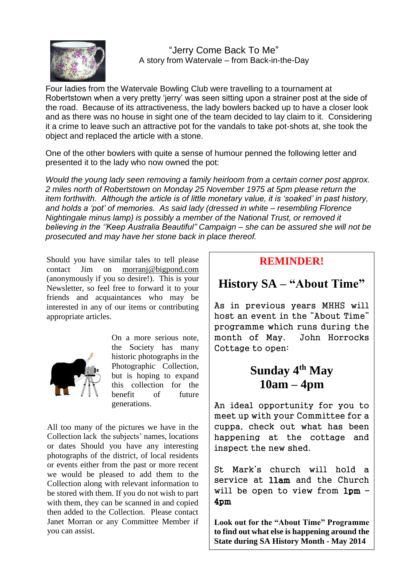

 "Jerry Come Back To Me" A story from Watervale – from Back-in-the-Day

Four ladies from the Watervale Bowling Club were travelling to a tournament at Robertstown when a very pretty 'jerry' was seen sitting upon a strainer post at the side of the road. Because of its attractiveness, the lady bowlers backed up to have a closer look and as there was no house in sight one of the team decided to lay claim to it. Considering it a crime to leave such an attractive pot for the vandals to take pot-shots at, she took the object and replaced the article with a stone.

One of the other bowlers with quite a sense of humour penned the following letter and presented it to the lady who now owned the pot:

*Would the young lady seen removing a family heirloom from a certain corner post approx. 2 miles north of Robertstown on Monday 25 November 1975 at 5pm please return the item forthwith. Although the article is of little monetary value, it is 'soaked' in past history, and holds a 'pot' of memories. As said lady (dressed in white – resembling Florence Nightingale minus lamp) is possibly a member of the National Trust, or removed it believing in the ''Keep Australia Beautiful" Campaign – she can be assured she will not be prosecuted and may have her stone back in place thereof.*

contact Jim on (anonymously if you so desi[re!\). This is your](http://www.google.com.au/imgres?start=122&hl=en&biw=985&bih=698&tbm=isch&tbnid=6SV7a77rm-m2TM:&imgrefurl=http://vecto.rs/designs/editors&docid=zabOHq8RxRdovM&imgurl=http://vecto.rs/1024/vector-of-a-cartoon-editor-running-with-coffee-and-documents-outlined-coloring-page-drawing-by-ron-leishman-15893.jpg&w=1024&h=1044&ei=XV8mU-aRD8bQkAXNqYD4Ag&zoom=1&ved=0CGkQhBwwIDhk&iact=rc&dur=599&page=8&ndsp=16) Newsletter, so feel free to forward it to your friends and acquaintances who may be interested in any of our items or contributing appropriate articles. of interest. Should you have similar tales to tell please [morranj@bigpond.com](mailto:morranj@bigpond.com)



On a more serious note, the Society has many historic photographs in the Photographic Collection, but is hoping to expand this collection for the benefit of future generations.

All too many of the pictures we have in the Collection lack the subjects' names, locations or dates Should you have any interesting photographs of the district, of local residents or events either from the past or more recent we would be pleased to add them to the Collection along with relevant information to be stored with them. If you do not wish to part with them, they can be scanned in and copied then added to the Collection. Please contact Janet Morran or any Committee Member if you can assist.

### **REMINDER!**

### **History SA – "About Time"**

As in previous years MHHS will host an event in the "About Time" programme which runs during the month of May. John Horrocks Cottage to open:

## **Sunday 4th May 10am – 4pm**

An ideal opportunity for you to meet up with your Committee for a cuppa, check out what has been happening at the cottage and inspect the new shed.

St Mark's church will hold a service at llam and the Church will be open to view from 1pm – 4pm

**Look out for the "About Time" Programme to find out what else is happening around the State during SA History Month - May 2014**

j